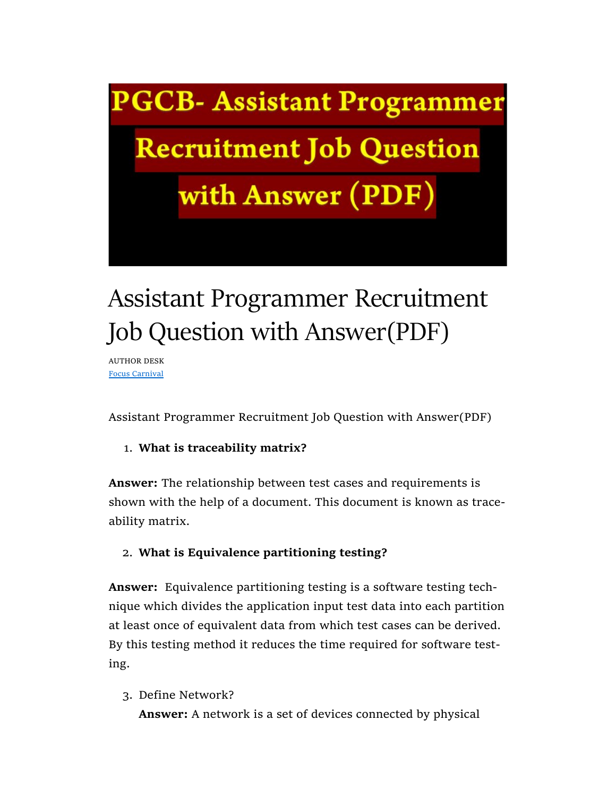**PGCB- Assistant Programmer** 

**Recruitment Job Question** 

with Answer (PDF)

# Assistant Programmer Recruitment Job Question with Answer(PDF)

AUTHOR DESK Focus Carnival

Assistant Programmer Recruitment Job Question with Answer(PDF)

# 1. What is traceability matrix?

Answer: The relationship between test cases and requirements is shown with the help of a document. This document is known as traceability matrix.

# 2. What is Equivalence partitioning testing?

Answer: Equivalence partitioning testing is a software testing technique which divides the application input test data into each partition at least once of equivalent data from which test cases can be derived. By this testing method it reduces the time required for software testing.

3. Define Network?

Answer: A network is a set of devices connected by physical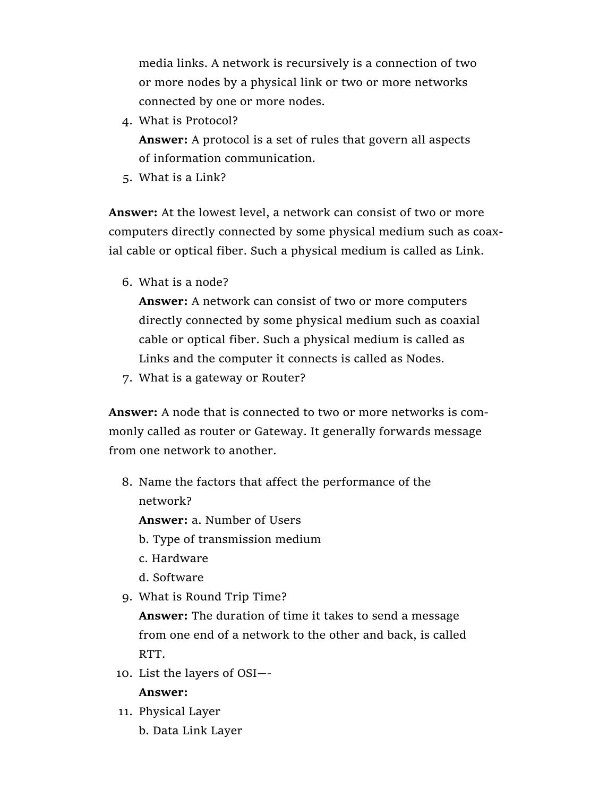media links. A network is recursively is a connection of two or more nodes by a physical link or two or more networks connected by one or more nodes.

4. What is Protocol?

Answer: A protocol is a set of rules that govern all aspects of information communication.

5. What is a Link?

Answer: At the lowest level, a network can consist of two or more computers directly connected by some physical medium such as coaxial cable or optical fiber. Such a physical medium is called as Link.

6. What is a node?

Answer: A network can consist of two or more computers directly connected by some physical medium such as coaxial cable or optical fiber. Such a physical medium is called as Links and the computer it connects is called as Nodes.

7. What is a gateway or Router?

Answer: A node that is connected to two or more networks is commonly called as router or Gateway. It generally forwards message from one network to another.

8. Name the factors that affect the performance of the network?

Answer: a. Number of Users

- b. Type of transmission medium
- c. Hardware
- d. Software
- 9. What is Round Trip Time?

Answer: The duration of time it takes to send a message from one end of a network to the other and back, is called RTT.

10. List the layers of OSI—-

#### Answer:

- 11. Physical Layer
	- b. Data Link Layer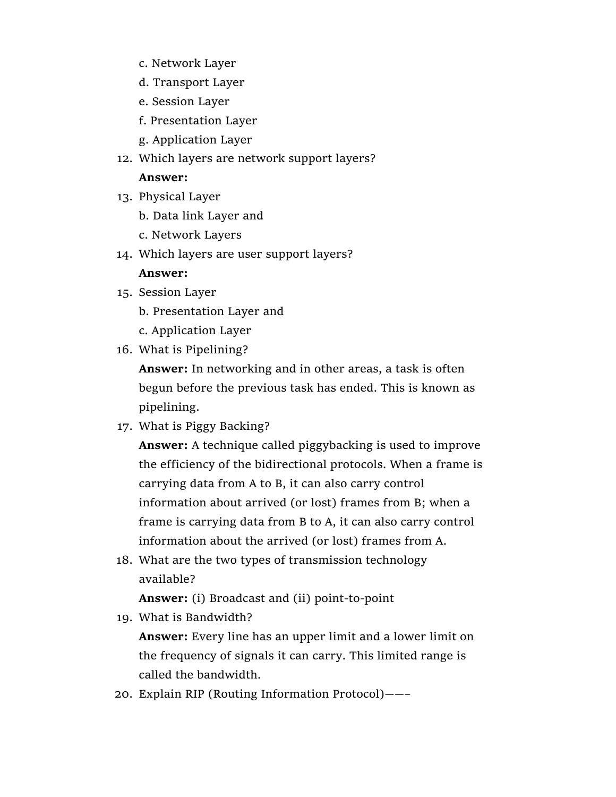- c. Network Layer
- d. Transport Layer
- e. Session Layer
- f. Presentation Layer
- g. Application Layer
- 12. Which layers are network support layers?

### Answer:

- 13. Physical Layer
	- b. Data link Layer and
	- c. Network Layers
- 14. Which layers are user support layers?

## Answer:

- 15. Session Layer
	- b. Presentation Layer and
	- c. Application Layer
- 16. What is Pipelining?

Answer: In networking and in other areas, a task is often begun before the previous task has ended. This is known as pipelining.

17. What is Piggy Backing?

Answer: A technique called piggybacking is used to improve the efficiency of the bidirectional protocols. When a frame is carrying data from A to B, it can also carry control information about arrived (or lost) frames from B; when a frame is carrying data from B to A, it can also carry control information about the arrived (or lost) frames from A.

18. What are the two types of transmission technology available?

Answer: (i) Broadcast and (ii) point-to-point

19. What is Bandwidth?

Answer: Every line has an upper limit and a lower limit on the frequency of signals it can carry. This limited range is called the bandwidth.

20. Explain RIP (Routing Information Protocol)——–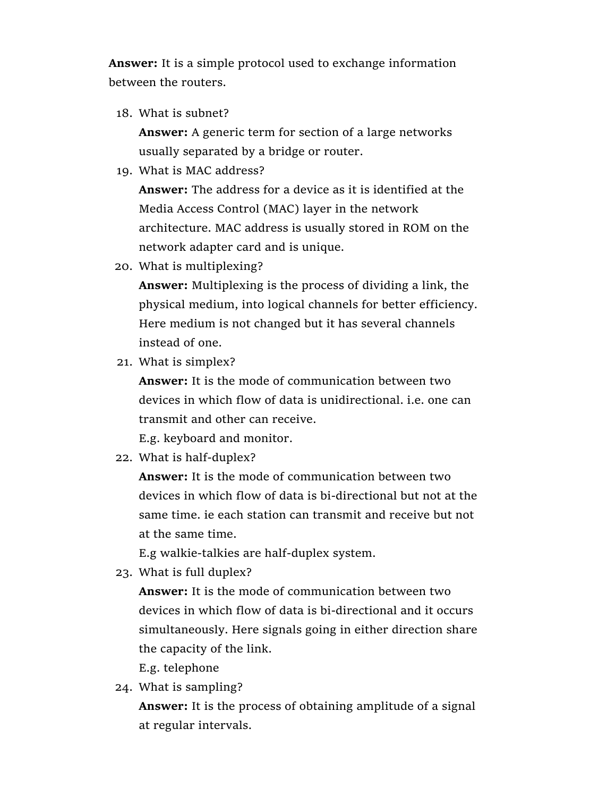Answer: It is a simple protocol used to exchange information between the routers.

18. What is subnet?

Answer: A generic term for section of a large networks usually separated by a bridge or router.

19. What is MAC address?

Answer: The address for a device as it is identified at the Media Access Control (MAC) layer in the network architecture. MAC address is usually stored in ROM on the network adapter card and is unique.

20. What is multiplexing?

Answer: Multiplexing is the process of dividing a link, the physical medium, into logical channels for better efficiency. Here medium is not changed but it has several channels instead of one.

21. What is simplex?

Answer: It is the mode of communication between two devices in which flow of data is unidirectional. i.e. one can transmit and other can receive.

E.g. keyboard and monitor.

22. What is half-duplex?

Answer: It is the mode of communication between two devices in which flow of data is bi-directional but not at the same time. ie each station can transmit and receive but not at the same time.

E.g walkie-talkies are half-duplex system.

23. What is full duplex?

Answer: It is the mode of communication between two devices in which flow of data is bi-directional and it occurs simultaneously. Here signals going in either direction share the capacity of the link.

E.g. telephone

24. What is sampling?

Answer: It is the process of obtaining amplitude of a signal at regular intervals.